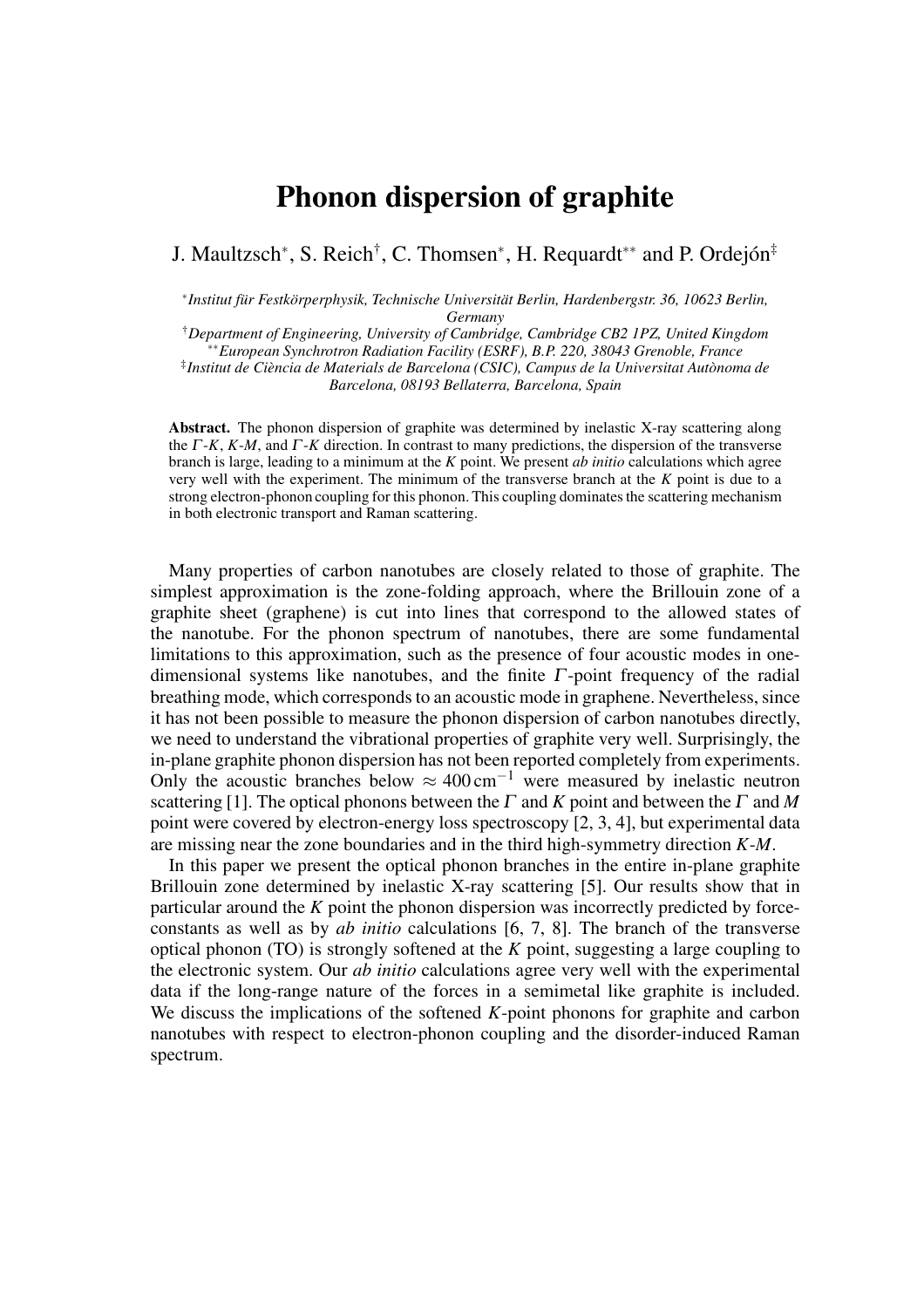## Phonon dispersion of graphite

J. Maultzsch<sup>∗</sup> , S. Reich† , C. Thomsen<sup>∗</sup> , H. Requardt∗∗ and P. Ordejón‡

∗ *Institut für Festkörperphysik, Technische Universität Berlin, Hardenbergstr. 36, 10623 Berlin, Germany*

†*Department of Engineering, University of Cambridge, Cambridge CB2 1PZ, United Kingdom* ∗∗*European Synchrotron Radiation Facility (ESRF), B.P. 220, 38043 Grenoble, France* ‡ *Institut de Ciència de Materials de Barcelona (CSIC), Campus de la Universitat Autònoma de Barcelona, 08193 Bellaterra, Barcelona, Spain*

Abstract. The phonon dispersion of graphite was determined by inelastic X-ray scattering along the <sup>Γ</sup> -*K*, *K*-*M*, and <sup>Γ</sup> -*K* direction. In contrast to many predictions, the dispersion of the transverse branch is large, leading to a minimum at the *K* point. We present *ab initio* calculations which agree very well with the experiment. The minimum of the transverse branch at the *K* point is due to a strong electron-phonon coupling for this phonon. This coupling dominates the scattering mechanism in both electronic transport and Raman scattering.

Many properties of carbon nanotubes are closely related to those of graphite. The simplest approximation is the zone-folding approach, where the Brillouin zone of a graphite sheet (graphene) is cut into lines that correspond to the allowed states of the nanotube. For the phonon spectrum of nanotubes, there are some fundamental limitations to this approximation, such as the presence of four acoustic modes in onedimensional systems like nanotubes, and the finite  $\Gamma$ -point frequency of the radial breathing mode, which corresponds to an acoustic mode in graphene. Nevertheless, since it has not been possible to measure the phonon dispersion of carbon nanotubes directly, we need to understand the vibrational properties of graphite very well. Surprisingly, the in-plane graphite phonon dispersion has not been reported completely from experiments. Only the acoustic branches below  $\approx 400 \text{ cm}^{-1}$  were measured by inelastic neutron scattering [1]. The optical phonons between the  $\Gamma$  and  $K$  point and between the  $\Gamma$  and  $M$ point were covered by electron-energy loss spectroscopy [2, 3, 4], but experimental data are missing near the zone boundaries and in the third high-symmetry direction *K*-*M*.

In this paper we present the optical phonon branches in the entire in-plane graphite Brillouin zone determined by inelastic X-ray scattering [5]. Our results show that in particular around the *K* point the phonon dispersion was incorrectly predicted by forceconstants as well as by *ab initio* calculations [6, 7, 8]. The branch of the transverse optical phonon (TO) is strongly softened at the *K* point, suggesting a large coupling to the electronic system. Our *ab initio* calculations agree very well with the experimental data if the long-range nature of the forces in a semimetal like graphite is included. We discuss the implications of the softened *K*-point phonons for graphite and carbon nanotubes with respect to electron-phonon coupling and the disorder-induced Raman spectrum.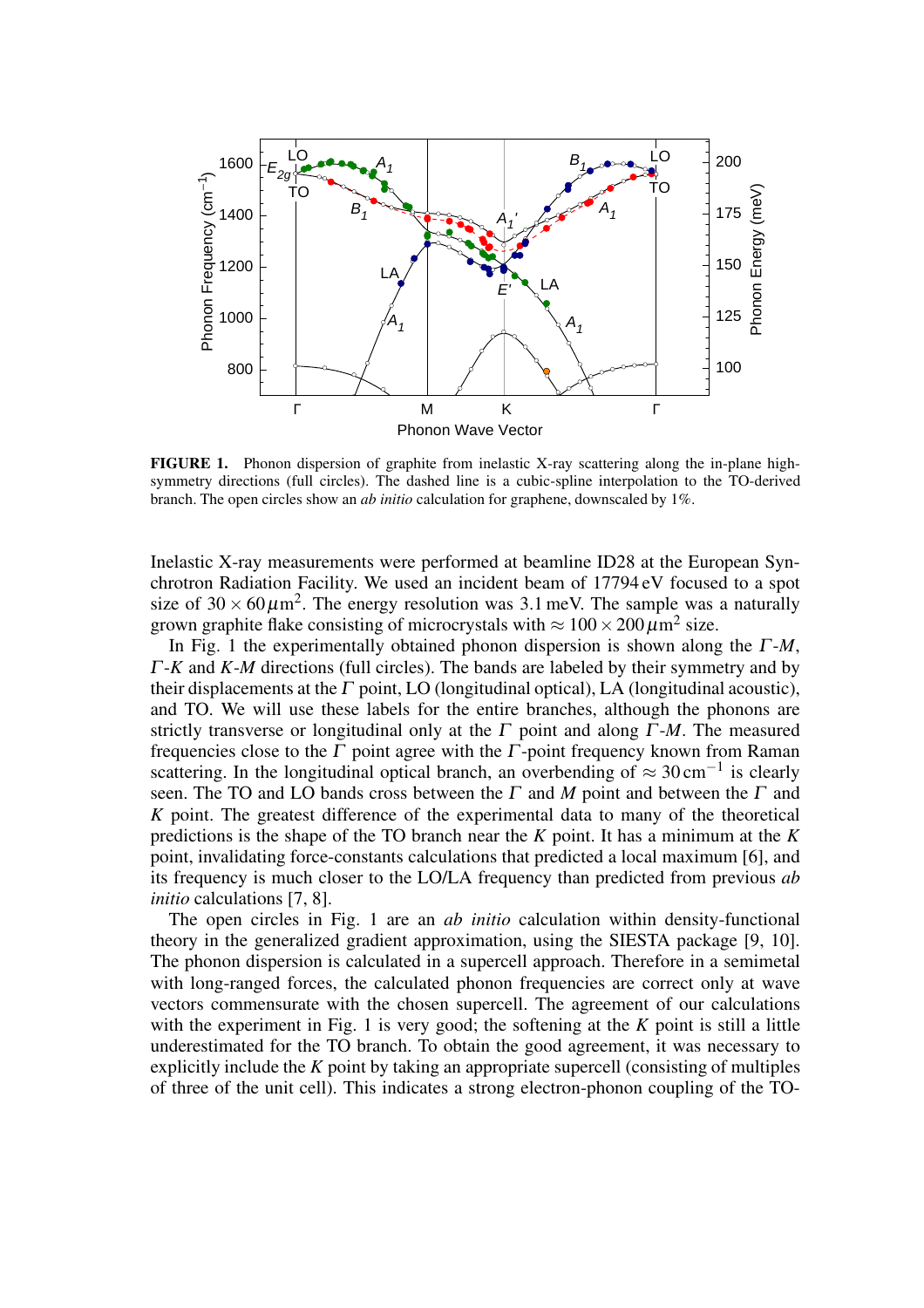

FIGURE 1. Phonon dispersion of graphite from inelastic X-ray scattering along the in-plane highsymmetry directions (full circles). The dashed line is a cubic-spline interpolation to the TO-derived branch. The open circles show an *ab initio* calculation for graphene, downscaled by 1%.

Inelastic X-ray measurements were performed at beamline ID28 at the European Synchrotron Radiation Facility. We used an incident beam of 17794 eV focused to a spot size of  $30 \times 60 \mu m^2$ . The energy resolution was 3.1 meV. The sample was a naturally grown graphite flake consisting of microcrystals with  $\approx 100 \times 200 \,\mu\text{m}^2$  size.

In Fig. 1 the experimentally obtained phonon dispersion is shown along the <sup>Γ</sup>-*M*, <sup>Γ</sup>-*K* and *K*-*M* directions (full circles). The bands are labeled by their symmetry and by their displacements at the  $\Gamma$  point, LO (longitudinal optical), LA (longitudinal acoustic), and TO. We will use these labels for the entire branches, although the phonons are strictly transverse or longitudinal only at the  $\Gamma$  point and along  $\Gamma$ -*M*. The measured frequencies close to the  $\Gamma$  point agree with the  $\Gamma$ -point frequency known from Raman scattering. In the longitudinal optical branch, an overbending of  $\approx 30 \text{ cm}^{-1}$  is clearly seen. The TO and LO bands cross between the  $\Gamma$  and  $M$  point and between the  $\Gamma$  and *K* point. The greatest difference of the experimental data to many of the theoretical predictions is the shape of the TO branch near the *K* point. It has a minimum at the *K* point, invalidating force-constants calculations that predicted a local maximum [6], and its frequency is much closer to the LO/LA frequency than predicted from previous *ab initio* calculations [7, 8].

The open circles in Fig. 1 are an *ab initio* calculation within density-functional theory in the generalized gradient approximation, using the SIESTA package [9, 10]. The phonon dispersion is calculated in a supercell approach. Therefore in a semimetal with long-ranged forces, the calculated phonon frequencies are correct only at wave vectors commensurate with the chosen supercell. The agreement of our calculations with the experiment in Fig. 1 is very good; the softening at the *K* point is still a little underestimated for the TO branch. To obtain the good agreement, it was necessary to explicitly include the *K* point by taking an appropriate supercell (consisting of multiples of three of the unit cell). This indicates a strong electron-phonon coupling of the TO-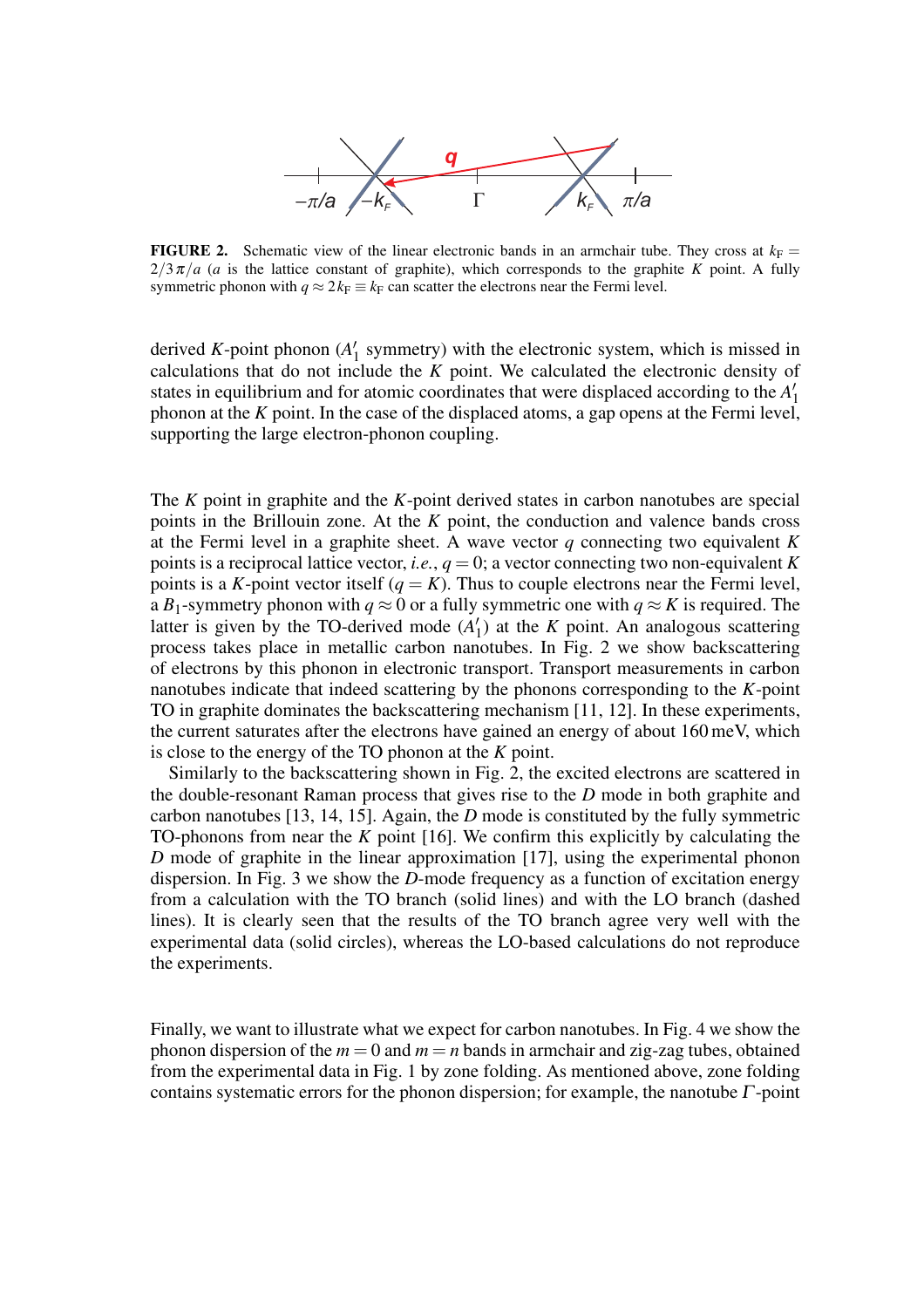

**FIGURE 2.** Schematic view of the linear electronic bands in an armchair tube. They cross at  $k_F =$  $2/3\pi/a$  (*a* is the lattice constant of graphite), which corresponds to the graphite *K* point. A fully symmetric phonon with  $q \approx 2k_F \equiv k_F$  can scatter the electrons near the Fermi level.

derived *K*-point phonon (*A* ′  $\frac{1}{1}$  symmetry) with the electronic system, which is missed in calculations that do not include the *K* point. We calculated the electronic density of states in equilibrium and for atomic coordinates that were displaced according to the *A* ′ 1 phonon at the *K* point. In the case of the displaced atoms, a gap opens at the Fermi level, supporting the large electron-phonon coupling.

The *K* point in graphite and the *K*-point derived states in carbon nanotubes are special points in the Brillouin zone. At the *K* point, the conduction and valence bands cross at the Fermi level in a graphite sheet. A wave vector *q* connecting two equivalent *K* points is a reciprocal lattice vector, *i.e.*,  $q = 0$ ; a vector connecting two non-equivalent *K* points is a *K*-point vector itself  $(q = K)$ . Thus to couple electrons near the Fermi level, a *B*<sub>1</sub>-symmetry phonon with  $q \approx 0$  or a fully symmetric one with  $q \approx K$  is required. The latter is given by the TO-derived mode (*A* ′  $\binom{1}{1}$  at the *K* point. An analogous scattering process takes place in metallic carbon nanotubes. In Fig. 2 we show backscattering of electrons by this phonon in electronic transport. Transport measurements in carbon nanotubes indicate that indeed scattering by the phonons corresponding to the *K*-point TO in graphite dominates the backscattering mechanism [11, 12]. In these experiments, the current saturates after the electrons have gained an energy of about 160 meV, which is close to the energy of the TO phonon at the *K* point.

Similarly to the backscattering shown in Fig. 2, the excited electrons are scattered in the double-resonant Raman process that gives rise to the *D* mode in both graphite and carbon nanotubes [13, 14, 15]. Again, the *D* mode is constituted by the fully symmetric TO-phonons from near the *K* point [16]. We confirm this explicitly by calculating the *D* mode of graphite in the linear approximation [17], using the experimental phonon dispersion. In Fig. 3 we show the *D*-mode frequency as a function of excitation energy from a calculation with the TO branch (solid lines) and with the LO branch (dashed lines). It is clearly seen that the results of the TO branch agree very well with the experimental data (solid circles), whereas the LO-based calculations do not reproduce the experiments.

Finally, we want to illustrate what we expect for carbon nanotubes. In Fig. 4 we show the phonon dispersion of the  $m = 0$  and  $m = n$  bands in armchair and zig-zag tubes, obtained from the experimental data in Fig. 1 by zone folding. As mentioned above, zone folding contains systematic errors for the phonon dispersion; for example, the nanotube  $\Gamma$ -point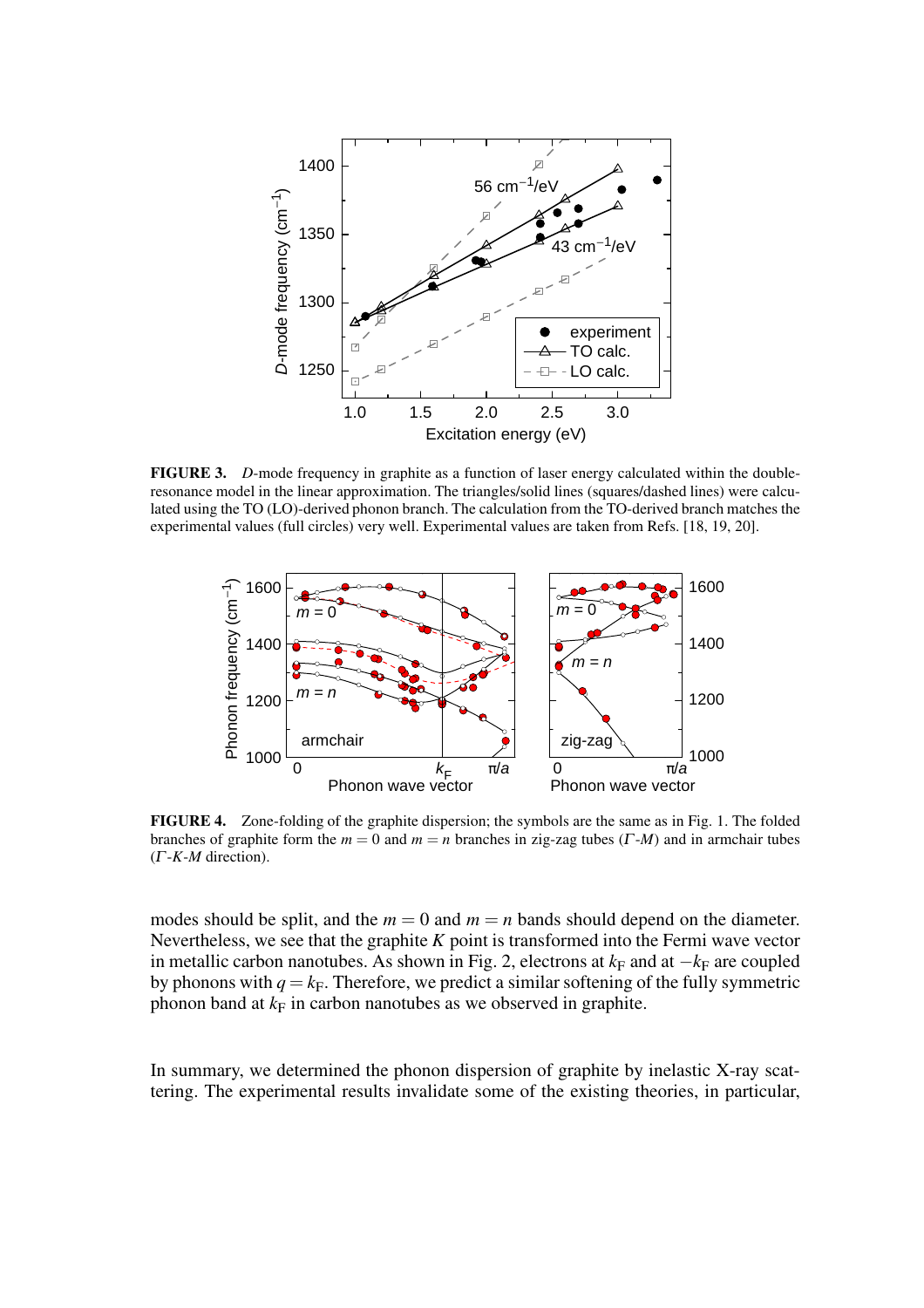

FIGURE 3. *D*-mode frequency in graphite as a function of laser energy calculated within the doubleresonance model in the linear approximation. The triangles/solid lines (squares/dashed lines) were calculated using the TO (LO)-derived phonon branch. The calculation from the TO-derived branch matches the experimental values (full circles) very well. Experimental values are taken from Refs. [18, 19, 20].



FIGURE 4. Zone-folding of the graphite dispersion; the symbols are the same as in Fig. 1. The folded branches of graphite form the *m* = 0 and *m* = *n* branches in zig-zag tubes (<sup>Γ</sup> -*M*) and in armchair tubes (<sup>Γ</sup> -*K*-*M* direction).

modes should be split, and the  $m = 0$  and  $m = n$  bands should depend on the diameter. Nevertheless, we see that the graphite *K* point is transformed into the Fermi wave vector in metallic carbon nanotubes. As shown in Fig. 2, electrons at  $k_F$  and at  $-k_F$  are coupled by phonons with  $q = k_F$ . Therefore, we predict a similar softening of the fully symmetric phonon band at  $k_F$  in carbon nanotubes as we observed in graphite.

In summary, we determined the phonon dispersion of graphite by inelastic X-ray scattering. The experimental results invalidate some of the existing theories, in particular,